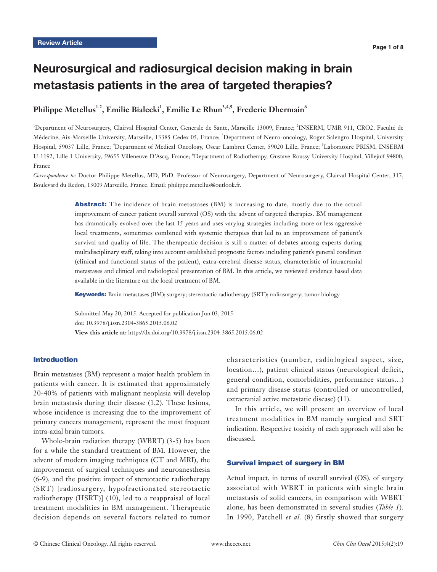# Neurosurgical and radiosurgical decision making in brain metastasis patients in the area of targeted therapies?

# Philippe Metellus<sup>1,2</sup>, Emilie Bialecki<sup>1</sup>, Emilie Le Rhun<sup>3,4,5</sup>, Frederic Dhermain<sup>6</sup>

<sup>1</sup>Department of Neurosurgery, Clairval Hospital Center, Generale de Sante, Marseille 13009, France; <sup>2</sup>INSERM, UMR 911, CRO2, Faculté de Médecine, Aix-Marseille University, Marseille, 13385 Cedex 05, France; <sup>3</sup> Department of Neuro-oncology, Roger Salengro Hospital, University Hospital, 59037 Lille, France; <sup>4</sup>Department of Medical Oncology, Oscar Lambret Center, 59020 Lille, France; <sup>5</sup>Laboratoire PRISM, INSERM U-1192, Lille 1 University, 59655 Villeneuve D'Ascq, France; <sup>6</sup>Department of Radiotherapy, Gustave Roussy University Hospital, Villejuif 94800, France

*Correspondence to:* Doctor Philippe Metellus, MD, PhD. Professor of Neurosurgery, Department of Neurosurgery, Clairval Hospital Center, 317, Boulevard du Redon, 13009 Marseille, France. Email: philippe.metellus@outlook.fr.

> Abstract: The incidence of brain metastases (BM) is increasing to date, mostly due to the actual improvement of cancer patient overall survival (OS) with the advent of targeted therapies. BM management has dramatically evolved over the last 15 years and uses varying strategies including more or less aggressive local treatments, sometimes combined with systemic therapies that led to an improvement of patient's survival and quality of life. The therapeutic decision is still a matter of debates among experts during multidisciplinary staff, taking into account established prognostic factors including patient's general condition (clinical and functional status of the patient), extra-cerebral disease status, characteristic of intracranial metastases and clinical and radiological presentation of BM. In this article, we reviewed evidence based data available in the literature on the local treatment of BM.

Keywords: Brain metastases (BM); surgery; stereotactic radiotherapy (SRT); radiosurgery; tumor biology

Submitted May 20, 2015. Accepted for publication Jun 03, 2015. doi: 10.3978/j.issn.2304-3865.2015.06.02 **View this article at:** http://dx.doi.org/10.3978/j.issn.2304-3865.2015.06.02

## Introduction

Brain metastases (BM) represent a major health problem in patients with cancer. It is estimated that approximately 20-40% of patients with malignant neoplasia will develop brain metastasis during their disease (1,2). These lesions, whose incidence is increasing due to the improvement of primary cancers management, represent the most frequent intra-axial brain tumors.

Whole-brain radiation therapy (WBRT) (3-5) has been for a while the standard treatment of BM. However, the advent of modern imaging techniques (CT and MRI), the improvement of surgical techniques and neuroanesthesia (6-9), and the positive impact of stereotactic radiotherapy (SRT) [radiosurgery, hypofractionated stereotactic radiotherapy (HSRT)] (10), led to a reappraisal of local treatment modalities in BM management. Therapeutic decision depends on several factors related to tumor characteristics (number, radiological aspect, size, location…), patient clinical status (neurological deficit, general condition, comorbidities, performance status…) and primary disease status (controlled or uncontrolled, extracranial active metastatic disease) (11).

In this article, we will present an overview of local treatment modalities in BM namely surgical and SRT indication. Respective toxicity of each approach will also be discussed.

#### Survival impact of surgery in BM

Actual impact, in terms of overall survival (OS), of surgery associated with WBRT in patients with single brain metastasis of solid cancers, in comparison with WBRT alone, has been demonstrated in several studies (*Table 1*). In 1990, Patchell *et al.* (8) firstly showed that surgery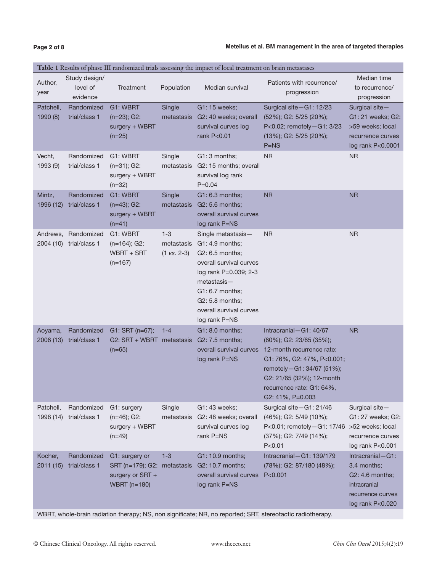| Table 1 Results of phase III randomized trials assessing the impact of local treatment on brain metastases |                                       |                                                                                          |                                                 |                                                                                                                                                                                                                  |                                                                                                                                                                                                                               |                                                                                                               |
|------------------------------------------------------------------------------------------------------------|---------------------------------------|------------------------------------------------------------------------------------------|-------------------------------------------------|------------------------------------------------------------------------------------------------------------------------------------------------------------------------------------------------------------------|-------------------------------------------------------------------------------------------------------------------------------------------------------------------------------------------------------------------------------|---------------------------------------------------------------------------------------------------------------|
| Author,<br>year                                                                                            | Study design/<br>level of<br>evidence | Treatment                                                                                | Population                                      | Median survival                                                                                                                                                                                                  | Patients with recurrence/<br>progression                                                                                                                                                                                      | Median time<br>to recurrence/<br>progression                                                                  |
| Patchell,<br>1990 (8)                                                                                      | Randomized<br>trial/class 1           | G1: WBRT<br>$(n=23)$ ; G2:<br>surgery + WBRT<br>$(n=25)$                                 | Single<br>metastasis                            | G1: 15 weeks;<br>G2: 40 weeks; overall<br>survival curves log<br>rank P<0.01                                                                                                                                     | Surgical site-G1: 12/23<br>(52%); G2: 5/25 (20%);<br>P<0.02; remotely-G1: 3/23<br>(13%); G2: 5/25 (20%);<br>$P=NS$                                                                                                            | Surgical site-<br>G1: 21 weeks; G2:<br>>59 weeks; local<br>recurrence curves<br>log rank P<0.0001             |
| Vecht,<br>1993 (9)                                                                                         | Randomized<br>trial/class 1           | G1: WBRT<br>$(n=31); G2:$<br>surgery + WBRT<br>$(n=32)$                                  | Single<br>metastasis                            | $G1:3$ months;<br>G2: 15 months; overall<br>survival log rank<br>$P = 0.04$                                                                                                                                      | NR.                                                                                                                                                                                                                           | <b>NR</b>                                                                                                     |
| Mintz,<br>1996 (12)                                                                                        | Randomized<br>trial/class 1           | G1: WBRT<br>$(n=43); G2:$<br>surgery + WBRT<br>$(n=41)$                                  | Single<br>metastasis                            | G1: 6.3 months;<br>G2: 5.6 months;<br>overall survival curves<br>log rank P=NS                                                                                                                                   | <b>NR</b>                                                                                                                                                                                                                     | <b>NR</b>                                                                                                     |
| Andrews,                                                                                                   | Randomized<br>2004 (10) trial/class 1 | G1: WBRT<br>$(n=164)$ ; G2:<br>WBRT + SRT<br>$(n=167)$                                   | $1 - 3$<br>metastasis<br>$(1 \text{ vs. } 2-3)$ | Single metastasis-<br>G1: 4.9 months;<br>G2: 6.5 months;<br>overall survival curves<br>log rank P=0.039; 2-3<br>$metastasis -$<br>G1: 6.7 months;<br>G2: 5.8 months;<br>overall survival curves<br>log rank P=NS | <b>NR</b>                                                                                                                                                                                                                     | <b>NR</b>                                                                                                     |
| Aoyama,<br>2006 (13)                                                                                       | Randomized<br>trial/class 1           | $G1: SRT (n=67);$<br>$G2: SRT + WBRT$ metastasis<br>$(n=65)$                             | $1 - 4$                                         | G1: 8.0 months;<br>G2: 7.5 months;<br>overall survival curves<br>log rank P=NS                                                                                                                                   | Intracranial-G1: 40/67<br>$(60\%);$ G2: 23/65 $(35\%);$<br>12-month recurrence rate:<br>G1: 76%, G2: 47%, P<0.001;<br>remotely-G1: 34/67 (51%);<br>G2: 21/65 (32%); 12-month<br>recurrence rate: G1: 64%,<br>G2: 41%, P=0.003 | <b>NR</b>                                                                                                     |
| Patchell,<br>1998 (14)                                                                                     | Randomized<br>trial/class 1           | G1: surgery<br>$(n=46)$ ; G2:<br>surgery + WBRT<br>$(n=49)$                              | Single<br>metastasis                            | G1: 43 weeks:<br>G2: 48 weeks; overall<br>survival curves log<br>rank P=NS                                                                                                                                       | Surgical site-G1: 21/46<br>(46%); G2: 5/49 (10%);<br>P<0.01; remotely-G1: 17/46<br>(37%); G2: 7/49 (14%);<br>P < 0.01                                                                                                         | Surgical site-<br>G1: 27 weeks; G2:<br>>52 weeks; local<br>recurrence curves<br>log rank P<0.001              |
| Kocher,<br>2011(15)                                                                                        | Randomized<br>trial/class 1           | G1: surgery or<br>SRT (n=179); G2: metastasis<br>surgery or SRT +<br><b>WBRT</b> (n=180) | $1 - 3$                                         | G1: 10.9 months;<br>G2: 10.7 months;<br>overall survival curves<br>log rank P=NS                                                                                                                                 | Intracranial $-G1: 139/179$<br>(78%); G2: 87/180 (48%);<br>P < 0.001                                                                                                                                                          | $Intractanial-G1:$<br>3.4 months;<br>G2: 4.6 months;<br>intracranial<br>recurrence curves<br>log rank P<0.020 |

WBRT, whole-brain radiation therapy; NS, non significate; NR, no reported; SRT, stereotactic radiotherapy.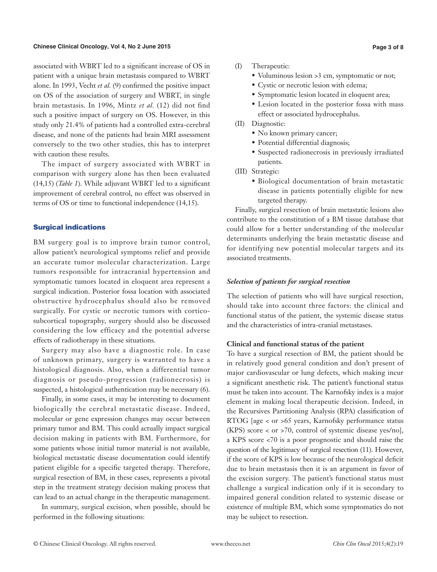associated with WBRT led to a significant increase of OS in patient with a unique brain metastasis compared to WBRT alone. In 1993, Vecht *et al.* (9) confirmed the positive impact on OS of the association of surgery and WBRT, in single brain metastasis. In 1996, Mintz *et al.* (12) did not find such a positive impact of surgery on OS. However, in this study only 21.4% of patients had a controlled extra-cerebral disease, and none of the patients had brain MRI assessment conversely to the two other studies, this has to interpret with caution these results.

The impact of surgery associated with WBRT in comparison with surgery alone has then been evaluated (14,15) (*Table 1*). While adjuvant WBRT led to a significant improvement of cerebral control, no effect was observed in terms of OS or time to functional independence (14,15).

## Surgical indications

BM surgery goal is to improve brain tumor control, allow patient's neurological symptoms relief and provide an accurate tumor molecular characterization. Large tumors responsible for intracranial hypertension and symptomatic tumors located in eloquent area represent a surgical indication. Posterior fossa location with associated obstructive hydrocephalus should also be removed surgically. For cystic or necrotic tumors with corticosubcortical topography, surgery should also be discussed considering the low efficacy and the potential adverse effects of radiotherapy in these situations.

Surgery may also have a diagnostic role. In case of unknown primary, surgery is warranted to have a histological diagnosis. Also, when a differential tumor diagnosis or pseudo-progression (radionecrosis) is suspected, a histological authentication may be necessary (6).

Finally, in some cases, it may be interesting to document biologically the cerebral metastatic disease. Indeed, molecular or gene expression changes may occur between primary tumor and BM. This could actually impact surgical decision making in patients with BM. Furthermore, for some patients whose initial tumor material is not available, biological metastatic disease documentation could identify patient eligible for a specific targeted therapy. Therefore, surgical resection of BM, in these cases, represents a pivotal step in the treatment strategy decision making process that can lead to an actual change in the therapeutic management.

In summary, surgical excision, when possible, should be performed in the following situations:

- (I) Therapeutic:
	- Voluminous lesion >3 cm, symptomatic or not;
	- Cystic or necrotic lesion with edema;
	- Symptomatic lesion located in eloquent area;
	- Lesion located in the posterior fossa with mass effect or associated hydrocephalus.
- (II) Diagnostic:
	- No known primary cancer;
	- Potential differential diagnosis;
	- Suspected radionecrosis in previously irradiated patients.
- (III) Strategic:
	- Biological documentation of brain metastatic disease in patients potentially eligible for new targeted therapy.

Finally, surgical resection of brain metastatic lesions also contribute to the constitution of a BM tissue database that could allow for a better understanding of the molecular determinants underlying the brain metastatic disease and for identifying new potential molecular targets and its associated treatments.

## *Selection of patients for surgical resection*

The selection of patients who will have surgical resection, should take into account three factors: the clinical and functional status of the patient, the systemic disease status and the characteristics of intra-cranial metastases.

## **Clinical and functional status of the patient**

To have a surgical resection of BM, the patient should be in relatively good general condition and don't present of major cardiovascular or lung defects, which making incur a significant anesthetic risk. The patient's functional status must be taken into account. The Karnofsky index is a major element in making local therapeutic decision. Indeed, in the Recursives Partitioning Analysis (RPA) classification of RTOG [age < or >65 years, Karnofsky performance status (KPS) score < or >70, control of systemic disease yes/no], a KPS score <70 is a poor prognostic and should raise the question of the legitimacy of surgical resection (11). However, if the score of KPS is low because of the neurological deficit due to brain metastasis then it is an argument in favor of the excision surgery. The patient's functional status must challenge a surgical indication only if it is secondary to impaired general condition related to systemic disease or existence of multiple BM, which some symptomatics do not may be subject to resection.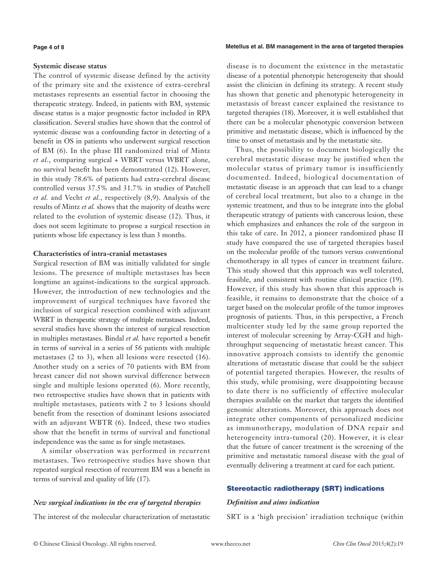#### **Page 4 of 8**

## **Systemic disease status**

The control of systemic disease defined by the activity of the primary site and the existence of extra-cerebral metastases represents an essential factor in choosing the therapeutic strategy. Indeed, in patients with BM, systemic disease status is a major prognostic factor included in RPA classification. Several studies have shown that the control of systemic disease was a confounding factor in detecting of a benefit in OS in patients who underwent surgical resection of BM (6). In the phase III randomized trial of Mintz *et al.*, comparing surgical + WBRT versus WBRT alone, no survival benefit has been demonstrated (12). However, in this study 78.6% of patients had extra-cerebral disease controlled versus 37.5% and 31.7% in studies of Patchell *et al.* and Vecht *et al.*, respectively (8,9). Analysis of the results of Mintz *et al.* shows that the majority of deaths were related to the evolution of systemic disease (12). Thus, it does not seem legitimate to propose a surgical resection in patients whose life expectancy is less than 3 months.

## **Characteristics of intra-cranial metastases**

Surgical resection of BM was initially validated for single lesions. The presence of multiple metastases has been longtime an against-indications to the surgical approach. However, the introduction of new technologies and the improvement of surgical techniques have favored the inclusion of surgical resection combined with adjuvant WBRT in therapeutic strategy of multiple metastases. Indeed, several studies have shown the interest of surgical resection in multiples metastases. Bindal *et al.* have reported a benefit in terms of survival in a series of 56 patients with multiple metastases (2 to 3), when all lesions were resected (16). Another study on a series of 70 patients with BM from breast cancer did not shown survival difference between single and multiple lesions operated (6). More recently, two retrospective studies have shown that in patients with multiple metastases, patients with 2 to 3 lesions should benefit from the resection of dominant lesions associated with an adjuvant WBTR (6). Indeed, these two studies show that the benefit in terms of survival and functional independence was the same as for single metastases.

A similar observation was performed in recurrent metastases. Two retrospective studies have shown that repeated surgical resection of recurrent BM was a benefit in terms of survival and quality of life (17).

## *New surgical indications in the era of targeted therapies*

The interest of the molecular characterization of metastatic

**Metellus et al. BM management in the area of targeted therapies**

disease is to document the existence in the metastatic disease of a potential phenotypic heterogeneity that should assist the clinician in defining its strategy. A recent study has shown that genetic and phenotypic heterogeneity in metastasis of breast cancer explained the resistance to targeted therapies (18). Moreover, it is well established that there can be a molecular phenotypic conversion between primitive and metastatic disease, which is influenced by the time to onset of metastasis and by the metastatic site.

Thus, the possibility to document biologically the cerebral metastatic disease may be justified when the molecular status of primary tumor is insufficiently documented. Indeed, biological documentation of metastatic disease is an approach that can lead to a change of cerebral local treatment, but also to a change in the systemic treatment, and thus to be integrate into the global therapeutic strategy of patients with cancerous lesion, these which emphasizes and enhances the role of the surgeon in this take of care. In 2012, a pioneer randomized phase II study have compared the use of targeted therapies based on the molecular profile of the tumors versus conventional chemotherapy in all types of cancer in treatment failure. This study showed that this approach was well tolerated, feasible, and consistent with routine clinical practice (19). However, if this study has shown that this approach is feasible, it remains to demonstrate that the choice of a target based on the molecular profile of the tumor improves prognosis of patients. Thus, in this perspective, a French multicenter study led by the same group reported the interest of molecular screening by Array-CGH and highthroughput sequencing of metastatic breast cancer. This innovative approach consists to identify the genomic alterations of metastatic disease that could be the subject of potential targeted therapies. However, the results of this study, while promising, were disappointing because to date there is no sufficiently of effective molecular therapies available on the market that targets the identified genomic alterations. Moreover, this approach does not integrate other components of personalized medicine as immunotherapy, modulation of DNA repair and heterogeneity intra-tumoral (20). However, it is clear that the future of cancer treatment is the screening of the primitive and metastatic tumoral disease with the goal of eventually delivering a treatment at card for each patient.

## Stereotactic radiotherapy (SRT) indications

## *Definition and aims indication*

SRT is a 'high precision' irradiation technique (within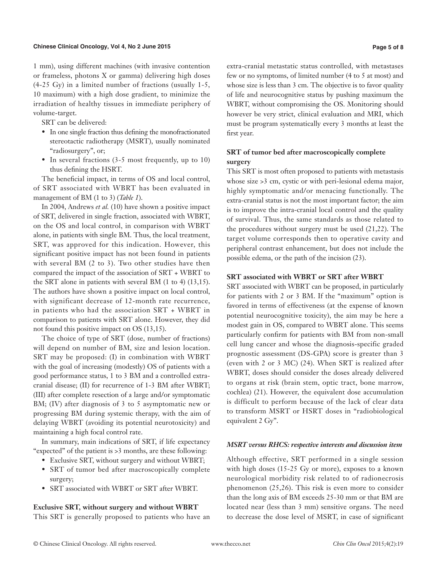#### **Chinese Clinical Oncology, Vol 4, No 2 June 2015**

1 mm), using different machines (with invasive contention or frameless, photons X or gamma) delivering high doses (4-25 Gy) in a limited number of fractions (usually 1-5, 10 maximum) with a high dose gradient, to minimize the irradiation of healthy tissues in immediate periphery of volume-target.

SRT can be delivered:

- In one single fraction thus defining the monofractionated stereotactic radiotherapy (MSRT), usually nominated "radiosurgery", or;
- In several fractions (3-5 most frequently, up to 10) thus defining the HSRT.

The beneficial impact, in terms of OS and local control, of SRT associated with WBRT has been evaluated in management of BM (1 to 3) (*Table 1*).

In 2004, Andrews *et al.* (10) have shown a positive impact of SRT, delivered in single fraction, associated with WBRT, on the OS and local control, in comparison with WBRT alone, in patients with single BM. Thus, the local treatment, SRT, was approved for this indication. However, this significant positive impact has not been found in patients with several BM (2 to 3). Two other studies have then compared the impact of the association of SRT + WBRT to the SRT alone in patients with several BM (1 to 4) (13,15). The authors have shown a positive impact on local control, with significant decrease of 12-month rate recurrence, in patients who had the association SRT + WBRT in comparison to patients with SRT alone. However, they did not found this positive impact on OS (13,15).

The choice of type of SRT (dose, number of fractions) will depend on number of BM, size and lesion location. SRT may be proposed: (I) in combination with WBRT with the goal of increasing (modestly) OS of patients with a good performance status, 1 to 3 BM and a controlled extracranial disease; (II) for recurrence of 1-3 BM after WBRT; (III) after complete resection of a large and/or symptomatic BM; (IV) after diagnosis of 3 to 5 asymptomatic new or progressing BM during systemic therapy, with the aim of delaying WBRT (avoiding its potential neurotoxicity) and maintaining a high focal control rate.

In summary, main indications of SRT, if life expectancy "expected" of the patient is >3 months, are these following:

- Exclusive SRT, without surgery and without WBRT;
- SRT of tumor bed after macroscopically complete surgery;
- SRT associated with WBRT or SRT after WBRT.

**Exclusive SRT, without surgery and without WBRT**

This SRT is generally proposed to patients who have an

extra-cranial metastatic status controlled, with metastases few or no symptoms, of limited number (4 to 5 at most) and whose size is less than 3 cm. The objective is to favor quality of life and neurocognitive status by pushing maximum the WBRT, without compromising the OS. Monitoring should however be very strict, clinical evaluation and MRI, which must be program systematically every 3 months at least the first year.

## **SRT of tumor bed after macroscopically complete surgery**

This SRT is most often proposed to patients with metastasis whose size  $>3$  cm, cystic or with peri-lesional edema major, highly symptomatic and/or menacing functionally. The extra-cranial status is not the most important factor; the aim is to improve the intra-cranial local control and the quality of survival. Thus, the same standards as those related to the procedures without surgery must be used (21,22). The target volume corresponds then to operative cavity and peripheral contrast enhancement, but does not include the possible edema, or the path of the incision (23).

## **SRT associated with WBRT or SRT after WBRT**

SRT associated with WBRT can be proposed, in particularly for patients with 2 or 3 BM. If the "maximum" option is favored in terms of effectiveness (at the expense of known potential neurocognitive toxicity), the aim may be here a modest gain in OS, compared to WBRT alone. This seems particularly confirm for patients with BM from non-small cell lung cancer and whose the diagnosis-specific graded prognostic assessment (DS-GPA) score is greater than 3 (even with 2 or 3 MC) (24). When SRT is realized after WBRT, doses should consider the doses already delivered to organs at risk (brain stem, optic tract, bone marrow, cochlea) (21). However, the equivalent dose accumulation is difficult to perform because of the lack of clear data to transform MSRT or HSRT doses in "radiobiological equivalent 2 Gy".

## *MSRT versus RHCS: respective interests and discussion item*

Although effective, SRT performed in a single session with high doses (15-25 Gy or more), exposes to a known neurological morbidity risk related to of radionecrosis phenomenon (25,26). This risk is even more to consider than the long axis of BM exceeds 25-30 mm or that BM are located near (less than 3 mm) sensitive organs. The need to decrease the dose level of MSRT, in case of significant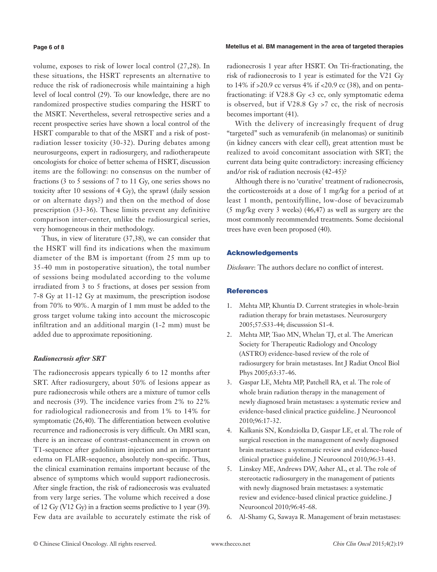#### **Page 6 of 8**

volume, exposes to risk of lower local control (27,28). In these situations, the HSRT represents an alternative to reduce the risk of radionecrosis while maintaining a high level of local control (29). To our knowledge, there are no randomized prospective studies comparing the HSRT to the MSRT. Nevertheless, several retrospective series and a recent prospective series have shown a local control of the HSRT comparable to that of the MSRT and a risk of postradiation lesser toxicity (30-32). During debates among neurosurgeons, expert in radiosurgery, and radiotherapeute oncologists for choice of better schema of HSRT, discussion items are the following: no consensus on the number of fractions (3 to 5 sessions of 7 to 11 Gy, one series shows no toxicity after 10 sessions of 4 Gy), the sprawl (daily session or on alternate days?) and then on the method of dose prescription (33-36). These limits prevent any definitive comparison inter-center, unlike the radiosurgical series, very homogeneous in their methodology.

Thus, in view of literature (37,38), we can consider that the HSRT will find its indications when the maximum diameter of the BM is important (from 25 mm up to 35-40 mm in postoperative situation), the total number of sessions being modulated according to the volume irradiated from 3 to 5 fractions, at doses per session from 7-8 Gy at 11-12 Gy at maximum, the prescription isodose from 70% to 90%. A margin of 1 mm must be added to the gross target volume taking into account the microscopic infiltration and an additional margin (1-2 mm) must be added due to approximate repositioning.

## *Radionecrosis after SRT*

The radionecrosis appears typically 6 to 12 months after SRT. After radiosurgery, about 50% of lesions appear as pure radionecrosis while others are a mixture of tumor cells and necrosis (39). The incidence varies from 2% to 22% for radiological radionecrosis and from 1% to 14% for symptomatic (26,40). The differentiation between evolutive recurrence and radionecrosis is very difficult. On MRI scan, there is an increase of contrast-enhancement in crown on T1-sequence after gadolinium injection and an important edema on FLAIR-sequence, absolutely non-specific. Thus, the clinical examination remains important because of the absence of symptoms which would support radionecrosis. After single fraction, the risk of radionecrosis was evaluated from very large series. The volume which received a dose of 12 Gy (V12 Gy) in a fraction seems predictive to 1 year (39). Few data are available to accurately estimate the risk of

#### **Metellus et al. BM management in the area of targeted therapies**

radionecrosis 1 year after HSRT. On Tri-fractionating, the risk of radionecrosis to 1 year is estimated for the V21 Gy to 14% if >20.9 cc versus 4% if <20.9 cc (38), and on pentafractionating: if V28.8 Gy <3 cc, only symptomatic edema is observed, but if  $V28.8 \text{ Gy} > 7 \text{ cc}$ , the risk of necrosis becomes important (41).

With the delivery of increasingly frequent of drug "targeted" such as vemurafenib (in melanomas) or sunitinib (in kidney cancers with clear cell), great attention must be realized to avoid concomitant association with SRT; the current data being quite contradictory: increasing efficiency and/or risk of radiation necrosis (42-45)?

Although there is no 'curative' treatment of radionecrosis, the corticosteroids at a dose of 1 mg/kg for a period of at least 1 month, pentoxifylline, low-dose of bevacizumab (5 mg/kg every 3 weeks) (46,47) as well as surgery are the most commonly recommended treatments. Some decisional trees have even been proposed (40).

## Acknowledgements

*Disclosure*: The authors declare no conflict of interest.

## **References**

- 1. Mehta MP, Khuntia D. Current strategies in whole-brain radiation therapy for brain metastases. Neurosurgery 2005;57:S33-44; discusssion S1-4.
- 2. Mehta MP, Tsao MN, Whelan TJ, et al. The American Society for Therapeutic Radiology and Oncology (ASTRO) evidence-based review of the role of radiosurgery for brain metastases. Int J Radiat Oncol Biol Phys 2005;63:37-46.
- 3. Gaspar LE, Mehta MP, Patchell RA, et al. The role of whole brain radiation therapy in the management of newly diagnosed brain metastases: a systematic review and evidence-based clinical practice guideline. J Neurooncol 2010;96:17-32.
- 4. Kalkanis SN, Kondziolka D, Gaspar LE, et al. The role of surgical resection in the management of newly diagnosed brain metastases: a systematic review and evidence-based clinical practice guideline. J Neurooncol 2010;96:33-43.
- 5. Linskey ME, Andrews DW, Asher AL, et al. The role of stereotactic radiosurgery in the management of patients with newly diagnosed brain metastases: a systematic review and evidence-based clinical practice guideline. J Neurooncol 2010;96:45-68.
- 6. Al-Shamy G, Sawaya R. Management of brain metastases: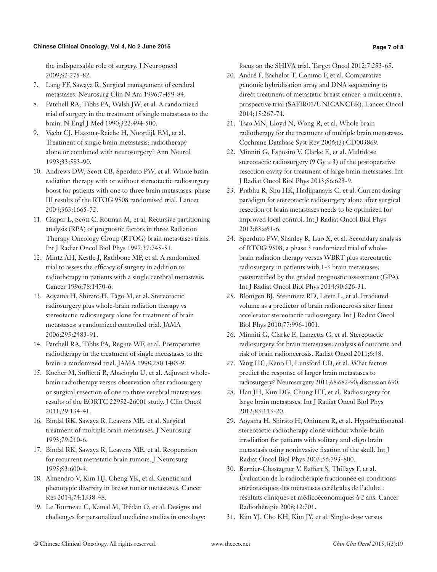## **Chinese Clinical Oncology, Vol 4, No 2 June 2015**

the indispensable role of surgery. J Neurooncol 2009;92:275-82.

- 7. Lang FF, Sawaya R. Surgical management of cerebral metastases. Neurosurg Clin N Am 1996;7:459-84.
- 8. Patchell RA, Tibbs PA, Walsh JW, et al. A randomized trial of surgery in the treatment of single metastases to the brain. N Engl J Med 1990;322:494-500.
- 9. Vecht CJ, Haaxma-Reiche H, Noordijk EM, et al. Treatment of single brain metastasis: radiotherapy alone or combined with neurosurgery? Ann Neurol 1993;33:583-90.
- 10. Andrews DW, Scott CB, Sperduto PW, et al. Whole brain radiation therapy with or without stereotactic radiosurgery boost for patients with one to three brain metastases: phase III results of the RTOG 9508 randomised trial. Lancet 2004;363:1665-72.
- 11. Gaspar L, Scott C, Rotman M, et al. Recursive partitioning analysis (RPA) of prognostic factors in three Radiation Therapy Oncology Group (RTOG) brain metastases trials. Int J Radiat Oncol Biol Phys 1997;37:745-51.
- 12. Mintz AH, Kestle J, Rathbone MP, et al. A randomized trial to assess the efficacy of surgery in addition to radiotherapy in patients with a single cerebral metastasis. Cancer 1996;78:1470-6.
- 13. Aoyama H, Shirato H, Tago M, et al. Stereotactic radiosurgery plus whole-brain radiation therapy vs stereotactic radiosurgery alone for treatment of brain metastases: a randomized controlled trial. JAMA 2006;295:2483-91.
- 14. Patchell RA, Tibbs PA, Regine WF, et al. Postoperative radiotherapy in the treatment of single metastases to the brain: a randomized trial. JAMA 1998;280:1485-9.
- 15. Kocher M, Soffietti R, Abacioglu U, et al. Adjuvant wholebrain radiotherapy versus observation after radiosurgery or surgical resection of one to three cerebral metastases: results of the EORTC 22952-26001 study. J Clin Oncol 2011;29:134-41.
- 16. Bindal RK, Sawaya R, Leavens ME, et al. Surgical treatment of multiple brain metastases. J Neurosurg 1993;79:210-6.
- 17. Bindal RK, Sawaya R, Leavens ME, et al. Reoperation for recurrent metastatic brain tumors. J Neurosurg 1995;83:600-4.
- 18. Almendro V, Kim HJ, Cheng YK, et al. Genetic and phenotypic diversity in breast tumor metastases. Cancer Res 2014;74:1338-48.
- 19. Le Tourneau C, Kamal M, Trédan O, et al. Designs and challenges for personalized medicine studies in oncology:

focus on the SHIVA trial. Target Oncol 2012;7:253-65.

- 20. André F, Bachelot T, Commo F, et al. Comparative genomic hybridisation array and DNA sequencing to direct treatment of metastatic breast cancer: a multicentre, prospective trial (SAFIR01/UNICANCER). Lancet Oncol 2014;15:267-74.
- 21. Tsao MN, Lloyd N, Wong R, et al. Whole brain radiotherapy for the treatment of multiple brain metastases. Cochrane Database Syst Rev 2006;(3):CD003869.
- 22. Minniti G, Esposito V, Clarke E, et al. Multidose stereotactic radiosurgery  $(9 \text{ Gy} \times 3)$  of the postoperative resection cavity for treatment of large brain metastases. Int J Radiat Oncol Biol Phys 2013;86:623-9.
- 23. Prabhu R, Shu HK, Hadjipanayis C, et al. Current dosing paradigm for stereotactic radiosurgery alone after surgical resection of brain metastases needs to be optimized for improved local control. Int J Radiat Oncol Biol Phys 2012;83:e61-6.
- 24. Sperduto PW, Shanley R, Luo X, et al. Secondary analysis of RTOG 9508, a phase 3 randomized trial of wholebrain radiation therapy versus WBRT plus stereotactic radiosurgery in patients with 1-3 brain metastases; poststratified by the graded prognostic assessment (GPA). Int J Radiat Oncol Biol Phys 2014;90:526-31.
- 25. Blonigen BJ, Steinmetz RD, Levin L, et al. Irradiated volume as a predictor of brain radionecrosis after linear accelerator stereotactic radiosurgery. Int J Radiat Oncol Biol Phys 2010;77:996-1001.
- 26. Minniti G, Clarke E, Lanzetta G, et al. Stereotactic radiosurgery for brain metastases: analysis of outcome and risk of brain radionecrosis. Radiat Oncol 2011;6:48.
- 27. Yang HC, Kano H, Lunsford LD, et al. What factors predict the response of larger brain metastases to radiosurgery? Neurosurgery 2011;68:682-90; discussion 690.
- 28. Han JH, Kim DG, Chung HT, et al. Radiosurgery for large brain metastases. Int J Radiat Oncol Biol Phys 2012;83:113-20.
- 29. Aoyama H, Shirato H, Onimaru R, et al. Hypofractionated stereotactic radiotherapy alone without whole-brain irradiation for patients with solitary and oligo brain metastasis using noninvasive fixation of the skull. Int J Radiat Oncol Biol Phys 2003;56:793-800.
- 30. Bernier-Chastagner V, Baffert S, Thillays F, et al. Évaluation de la radiothérapie fractionnée en conditions stéréotaxiques des métastases cérébrales de l'adulte : résultats cliniques et médicoéconomiques à 2 ans. Cancer Radiothérapie 2008;12:701.
- 31. Kim YJ, Cho KH, Kim JY, et al. Single-dose versus